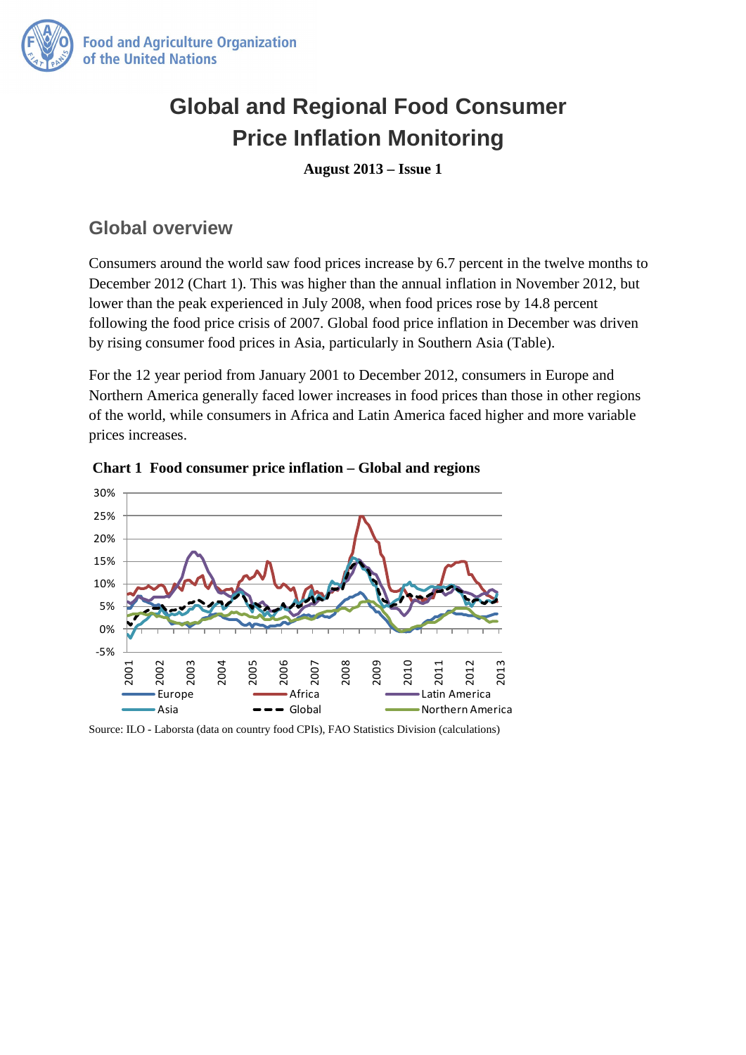

## **Global and Regional Food Consumer Price Inflation Monitoring**

**August 2013 – Issue 1**

## **Global overview**

Consumers around the world saw food prices increase by 6.7 percent in the twelve months to December 2012 (Chart 1). This was higher than the annual inflation in November 2012, but lower than the peak experienced in July 2008, when food prices rose by 14.8 percent following the food price crisis of 2007. Global food price inflation in December was driven by rising consumer food prices in Asia, particularly in Southern Asia (Table).

For the 12 year period from January 2001 to December 2012, consumers in Europe and Northern America generally faced lower increases in food prices than those in other regions of the world, while consumers in Africa and Latin America faced higher and more variable prices increases.



 **Chart 1 Food consumer price inflation – Global and regions** 

Source: ILO - Laborsta (data on country food CPIs), FAO Statistics Division (calculations)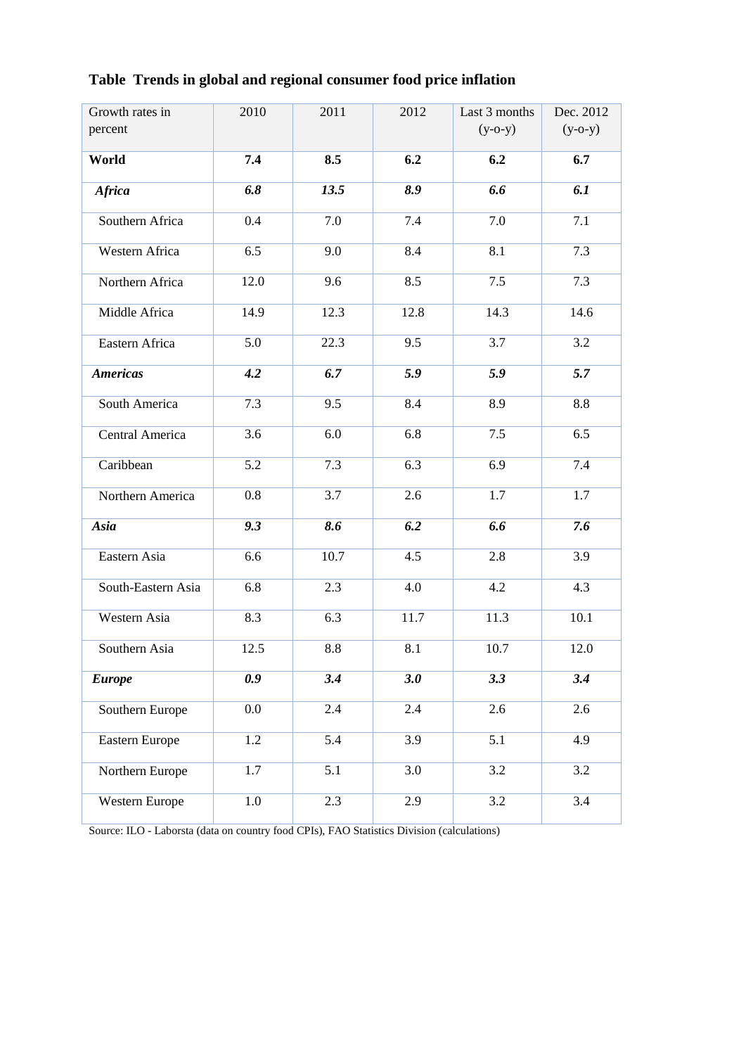| Growth rates in<br>percent | 2010    | 2011             | 2012             | Last 3 months<br>$(y-o-y)$ | Dec. 2012<br>$(y-o-y)$ |
|----------------------------|---------|------------------|------------------|----------------------------|------------------------|
| World                      | 7.4     | 8.5              | 6.2              | 6.2                        | 6.7                    |
| <b>Africa</b>              | 6.8     | 13.5             | 8.9              | 6.6                        | 6.1                    |
| Southern Africa            | 0.4     | 7.0              | 7.4              | 7.0                        | 7.1                    |
| Western Africa             | 6.5     | 9.0              | 8.4              | 8.1                        | 7.3                    |
| Northern Africa            | 12.0    | 9.6              | 8.5              | 7.5                        | 7.3                    |
| Middle Africa              | 14.9    | 12.3             | 12.8             | 14.3                       | 14.6                   |
| Eastern Africa             | 5.0     | 22.3             | 9.5              | 3.7                        | 3.2                    |
| <b>Americas</b>            | 4.2     | 6.7              | 5.9              | 5.9                        | 5.7                    |
| South America              | 7.3     | 9.5              | 8.4              | 8.9                        | 8.8                    |
| Central America            | 3.6     | 6.0              | 6.8              | 7.5                        | 6.5                    |
| Caribbean                  | 5.2     | 7.3              | 6.3              | 6.9                        | 7.4                    |
| Northern America           | 0.8     | 3.7              | 2.6              | 1.7                        | 1.7                    |
| Asia                       | 9.3     | 8.6              | 6.2              | 6.6                        | 7.6                    |
| Eastern Asia               | 6.6     | 10.7             | 4.5              | 2.8                        | 3.9                    |
| South-Eastern Asia         | 6.8     | 2.3              | 4.0              | 4.2                        | 4.3                    |
| Western Asia               | 8.3     | 6.3              | 11.7             | 11.3                       | 10.1                   |
| Southern Asia              | 12.5    | 8.8              | 8.1              | 10.7                       | 12.0                   |
| <b>Europe</b>              | 0.9     | $\overline{3.4}$ | $\overline{3.0}$ | 3.3                        | 3.4                    |
| Southern Europe            | $0.0\,$ | 2.4              | 2.4              | 2.6                        | 2.6                    |
| Eastern Europe             | 1.2     | 5.4              | 3.9              | 5.1                        | 4.9                    |
| Northern Europe            | 1.7     | 5.1              | 3.0              | 3.2                        | 3.2                    |
| Western Europe             | 1.0     | 2.3              | 2.9              | 3.2                        | 3.4                    |

**Table Trends in global and regional consumer food price inflation** 

Source: ILO - Laborsta (data on country food CPIs), FAO Statistics Division (calculations)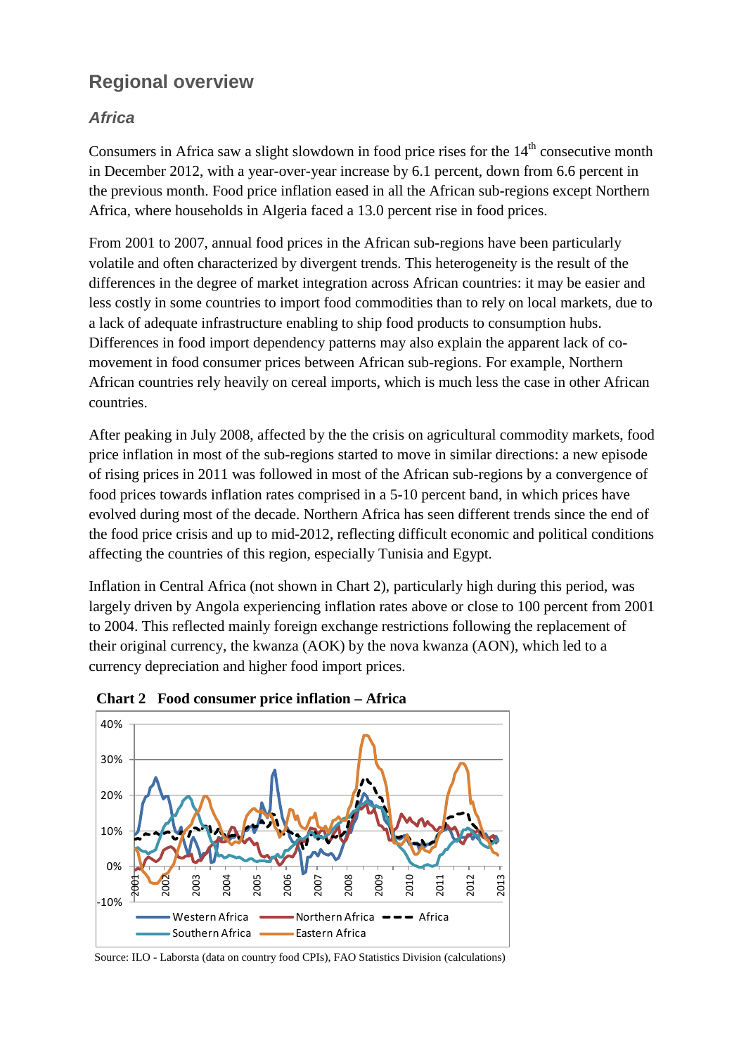## **Regional overview**

#### *Africa*

Consumers in Africa saw a slight slowdown in food price rises for the  $14<sup>th</sup>$  consecutive month in December 2012, with a year-over-year increase by 6.1 percent, down from 6.6 percent in the previous month. Food price inflation eased in all the African sub-regions except Northern Africa, where households in Algeria faced a 13.0 percent rise in food prices.

From 2001 to 2007, annual food prices in the African sub-regions have been particularly volatile and often characterized by divergent trends. This heterogeneity is the result of the differences in the degree of market integration across African countries: it may be easier and less costly in some countries to import food commodities than to rely on local markets, due to a lack of adequate infrastructure enabling to ship food products to consumption hubs. Differences in food import dependency patterns may also explain the apparent lack of comovement in food consumer prices between African sub-regions. For example, Northern African countries rely heavily on cereal imports, which is much less the case in other African countries.

After peaking in July 2008, affected by the the crisis on agricultural commodity markets, food price inflation in most of the sub-regions started to move in similar directions: a new episode of rising prices in 2011 was followed in most of the African sub-regions by a convergence of food prices towards inflation rates comprised in a 5-10 percent band, in which prices have evolved during most of the decade. Northern Africa has seen different trends since the end of the food price crisis and up to mid-2012, reflecting difficult economic and political conditions affecting the countries of this region, especially Tunisia and Egypt.

Inflation in Central Africa (not shown in Chart 2), particularly high during this period, was largely driven by Angola experiencing inflation rates above or close to 100 percent from 2001 to 2004. This reflected mainly foreign exchange restrictions following the replacement of their original currency, the kwanza (AOK) by the nova kwanza (AON), which led to a currency depreciation and higher food import prices.





Source: ILO - Laborsta (data on country food CPIs), FAO Statistics Division (calculations)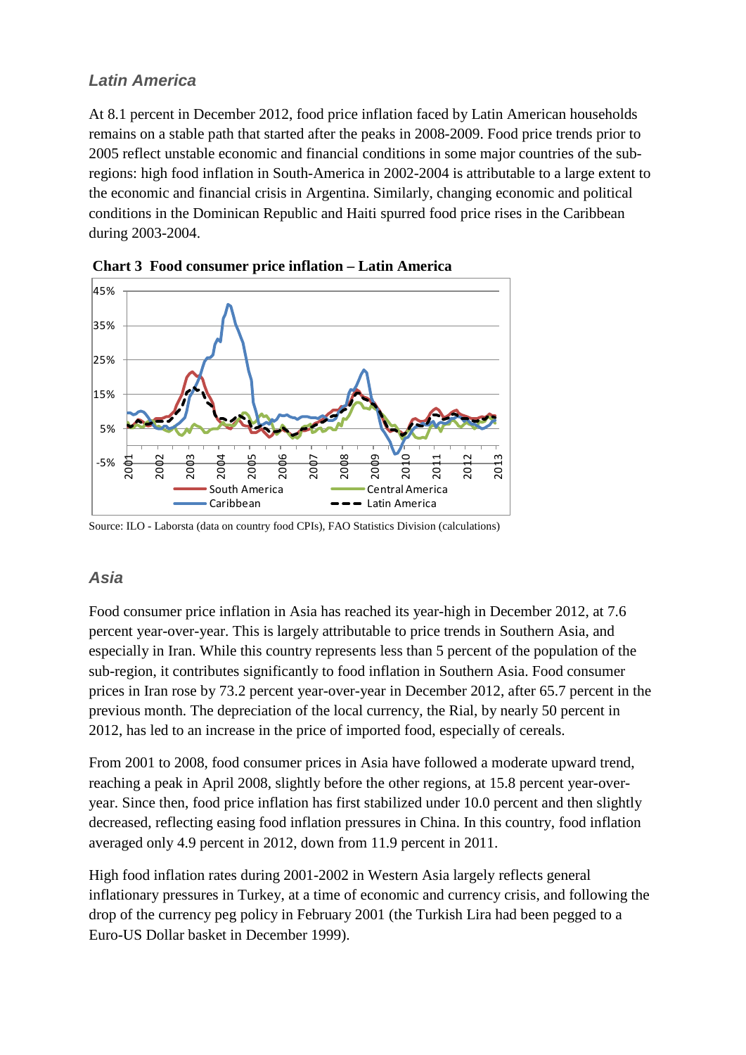#### *Latin America*

At 8.1 percent in December 2012, food price inflation faced by Latin American households remains on a stable path that started after the peaks in 2008-2009. Food price trends prior to 2005 reflect unstable economic and financial conditions in some major countries of the subregions: high food inflation in South-America in 2002-2004 is attributable to a large extent to the economic and financial crisis in Argentina. Similarly, changing economic and political conditions in the Dominican Republic and Haiti spurred food price rises in the Caribbean during 2003-2004.



**Chart 3 Food consumer price inflation – Latin America**

Source: ILO - Laborsta (data on country food CPIs), FAO Statistics Division (calculations)

#### *Asia*

Food consumer price inflation in Asia has reached its year-high in December 2012, at 7.6 percent year-over-year. This is largely attributable to price trends in Southern Asia, and especially in Iran. While this country represents less than 5 percent of the population of the sub-region, it contributes significantly to food inflation in Southern Asia. Food consumer prices in Iran rose by 73.2 percent year-over-year in December 2012, after 65.7 percent in the previous month. The depreciation of the local currency, the Rial, by nearly 50 percent in 2012, has led to an increase in the price of imported food, especially of cereals.

From 2001 to 2008, food consumer prices in Asia have followed a moderate upward trend, reaching a peak in April 2008, slightly before the other regions, at 15.8 percent year-overyear. Since then, food price inflation has first stabilized under 10.0 percent and then slightly decreased, reflecting easing food inflation pressures in China. In this country, food inflation averaged only 4.9 percent in 2012, down from 11.9 percent in 2011.

High food inflation rates during 2001-2002 in Western Asia largely reflects general inflationary pressures in Turkey, at a time of economic and currency crisis, and following the drop of the currency peg policy in February 2001 (the Turkish Lira had been pegged to a Euro-US Dollar basket in December 1999).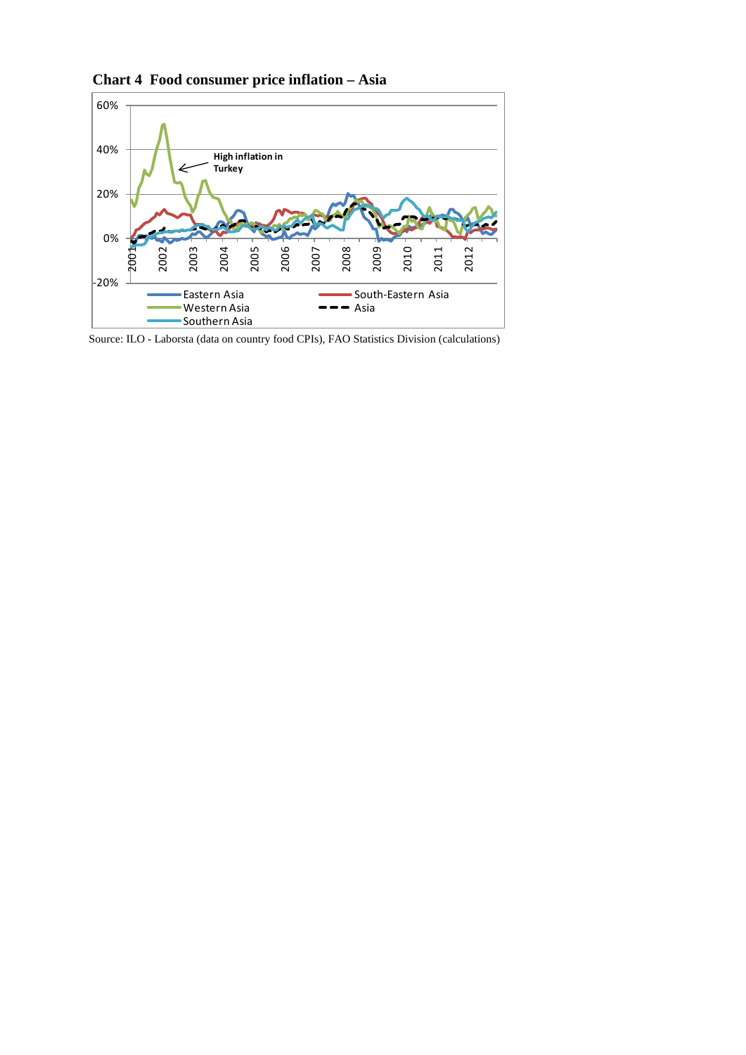

**Chart 4 Food consumer price inflation – Asia**

Source: ILO - Laborsta (data on country food CPIs), FAO Statistics Division (calculations)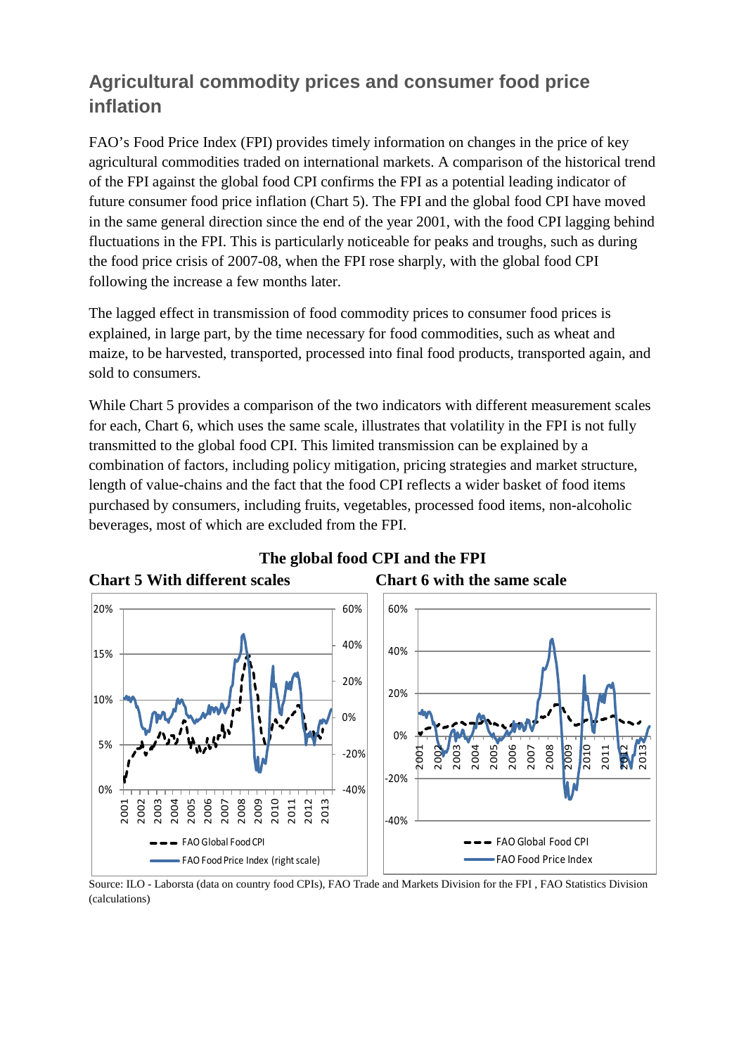## **Agricultural commodity prices and consumer food price inflation**

FAO's Food Price Index (FPI) provides timely information on changes in the price of key agricultural commodities traded on international markets. A comparison of the historical trend of the FPI against the global food CPI confirms the FPI as a potential leading indicator of future consumer food price inflation (Chart 5). The FPI and the global food CPI have moved in the same general direction since the end of the year 2001, with the food CPI lagging behind fluctuations in the FPI. This is particularly noticeable for peaks and troughs, such as during the food price crisis of 2007-08, when the FPI rose sharply, with the global food CPI following the increase a few months later.

The lagged effect in transmission of food commodity prices to consumer food prices is explained, in large part, by the time necessary for food commodities, such as wheat and maize, to be harvested, transported, processed into final food products, transported again, and sold to consumers.

While Chart 5 provides a comparison of the two indicators with different measurement scales for each, Chart 6, which uses the same scale, illustrates that volatility in the FPI is not fully transmitted to the global food CPI. This limited transmission can be explained by a combination of factors, including policy mitigation, pricing strategies and market structure, length of value-chains and the fact that the food CPI reflects a wider basket of food items purchased by consumers, including fruits, vegetables, processed food items, non-alcoholic beverages, most of which are excluded from the FPI.



# **The global food CPI and the FPI**

Source: ILO - Laborsta (data on country food CPIs), FAO Trade and Markets Division for the FPI , FAO Statistics Division (calculations)